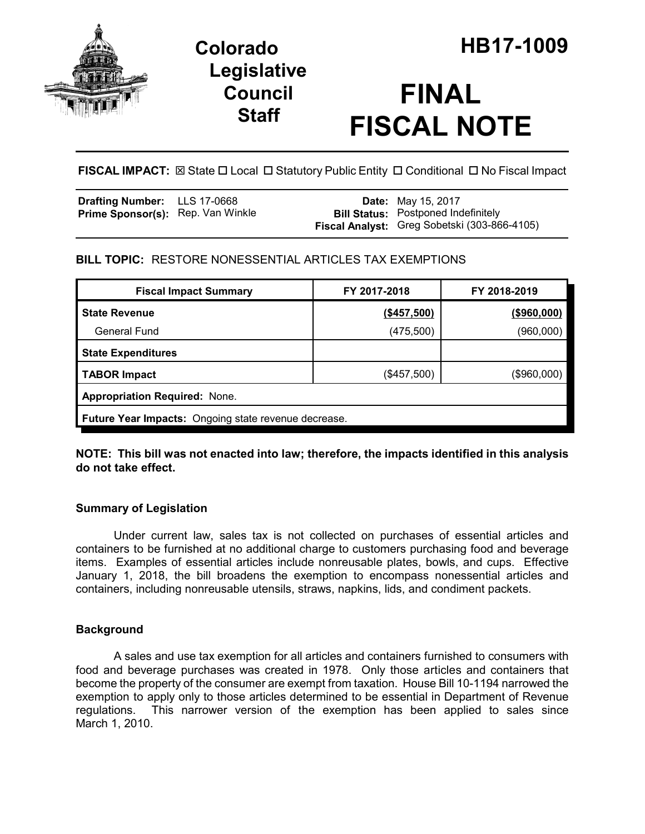

## **Legislative Council Staff**

# **FINAL FISCAL NOTE**

**FISCAL IMPACT:** ⊠ State □ Local □ Statutory Public Entity □ Conditional □ No Fiscal Impact

| <b>Drafting Number:</b> LLS 17-0668      |  | <b>Date:</b> May 15, 2017                    |
|------------------------------------------|--|----------------------------------------------|
| <b>Prime Sponsor(s):</b> Rep. Van Winkle |  | <b>Bill Status:</b> Postponed Indefinitely   |
|                                          |  | Fiscal Analyst: Greg Sobetski (303-866-4105) |

## **BILL TOPIC:** RESTORE NONESSENTIAL ARTICLES TAX EXEMPTIONS

| <b>Fiscal Impact Summary</b>                         | FY 2017-2018 | FY 2018-2019 |  |  |  |
|------------------------------------------------------|--------------|--------------|--|--|--|
| <b>State Revenue</b>                                 | (\$457,500)  | (\$960,000)  |  |  |  |
| <b>General Fund</b>                                  | (475,500)    | (960,000)    |  |  |  |
| <b>State Expenditures</b>                            |              |              |  |  |  |
| <b>TABOR Impact</b>                                  | (\$457,500)  | (\$960,000)  |  |  |  |
| Appropriation Required: None.                        |              |              |  |  |  |
| Future Year Impacts: Ongoing state revenue decrease. |              |              |  |  |  |

### **NOTE: This bill was not enacted into law; therefore, the impacts identified in this analysis do not take effect.**

## **Summary of Legislation**

Under current law, sales tax is not collected on purchases of essential articles and containers to be furnished at no additional charge to customers purchasing food and beverage items. Examples of essential articles include nonreusable plates, bowls, and cups. Effective January 1, 2018, the bill broadens the exemption to encompass nonessential articles and containers, including nonreusable utensils, straws, napkins, lids, and condiment packets.

## **Background**

A sales and use tax exemption for all articles and containers furnished to consumers with food and beverage purchases was created in 1978. Only those articles and containers that become the property of the consumer are exempt from taxation. House Bill 10-1194 narrowed the exemption to apply only to those articles determined to be essential in Department of Revenue regulations. This narrower version of the exemption has been applied to sales since March 1, 2010.